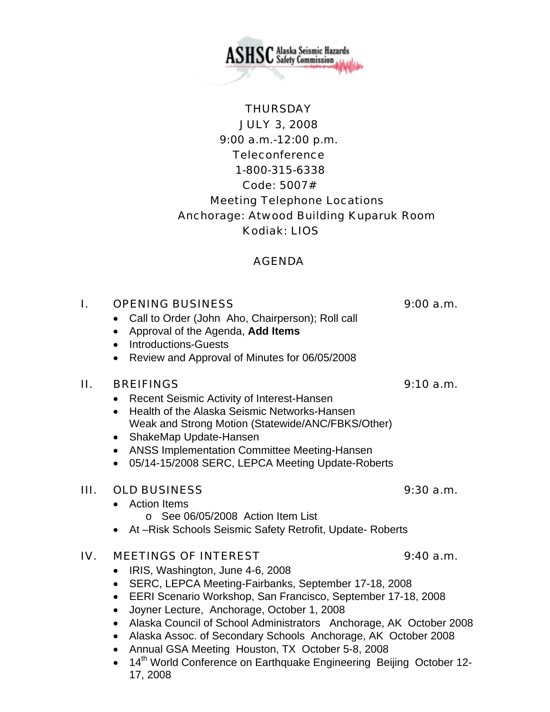" Alaska Seismic Hazards  ${\rm SHSC}$  Alaska Seismic Hazards<br>SHSC Safety Commission

# **THURSDAY** JULY 3, 2008 9:00 a.m.-12:00 p.m. **Teleconference**  1-800-315-6338 Code: 5007# Meeting Telephone Locations Anchorage: Atwood Building Kuparuk Room Kodiak: LIOS

# AGENDA

# I. OPENING BUSINESS 9:00 a.m.

- Call to Order (John Aho, Chairperson); Roll call
- Approval of the Agenda, **Add Items**
- Introductions-Guests
- Review and Approval of Minutes for 06/05/2008

### II. BREIFINGS 9:10 a.m.

- Recent Seismic Activity of Interest-Hansen
- Health of the Alaska Seismic Networks-Hansen Weak and Strong Motion (Statewide/ANC/FBKS/Other)
- ShakeMap Update-Hansen
- ANSS Implementation Committee Meeting-Hansen
- 05/14-15/2008 SERC, LEPCA Meeting Update-Roberts

### III. OLD BUSINESS 9:30 a.m.

- Action Items
	- o See 06/05/2008 Action Item List
- At –Risk Schools Seismic Safety Retrofit, Update- Roberts

# IV. MEETINGS OF INTEREST 9:40 a.m.

- IRIS, Washington, June 4-6, 2008
- SERC, LEPCA Meeting-Fairbanks, September 17-18, 2008
- EERI Scenario Workshop, San Francisco, September 17-18, 2008
- Joyner Lecture, Anchorage, October 1, 2008
- Alaska Council of School Administrators Anchorage, AK October 2008
- Alaska Assoc. of Secondary Schools Anchorage, AK October 2008
- Annual GSA Meeting Houston, TX October 5-8, 2008
- 14<sup>th</sup> World Conference on Earthquake Engineering Beijing October 12-17, 2008